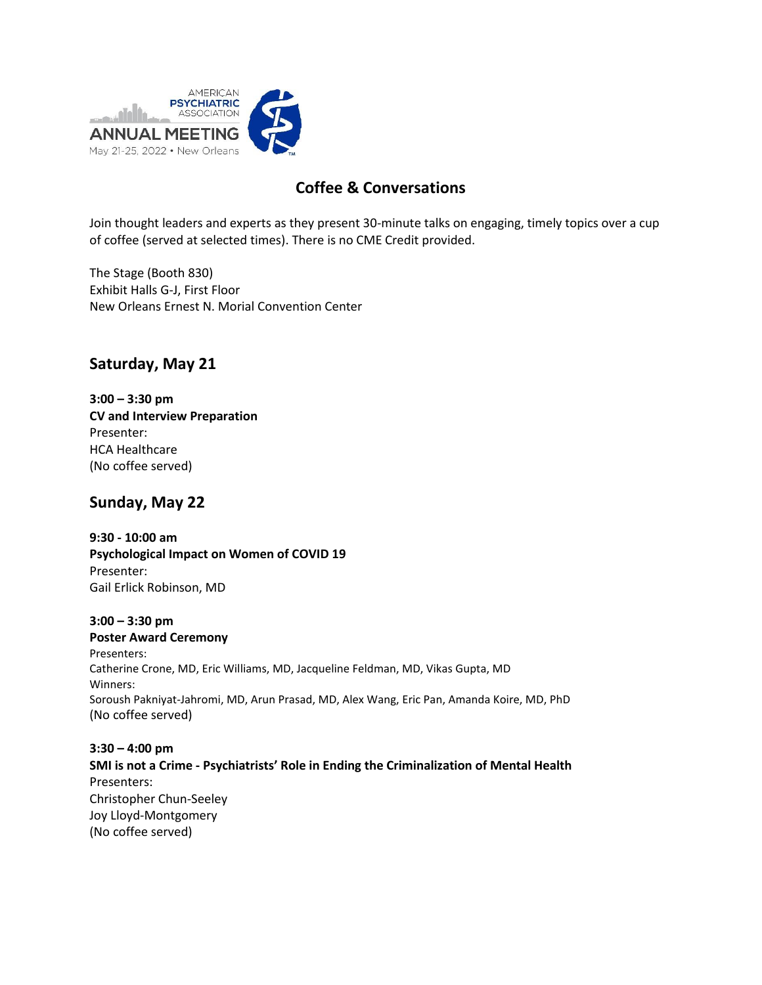

## **Coffee & Conversations**

Join thought leaders and experts as they present 30-minute talks on engaging, timely topics over a cup of coffee (served at selected times). There is no CME Credit provided.

The Stage (Booth 830) Exhibit Halls G-J, First Floor New Orleans Ernest N. Morial Convention Center

## **Saturday, May 21**

**3:00 – 3:30 pm CV and Interview Preparation** Presenter: HCA Healthcare (No coffee served)

### **Sunday, May 22**

**9:30 - 10:00 am Psychological Impact on Women of COVID 19** Presenter: Gail Erlick Robinson, MD

**3:00 – 3:30 pm Poster Award Ceremony** Presenters: Catherine Crone, MD, Eric Williams, MD, Jacqueline Feldman, MD, Vikas Gupta, MD Winners: Soroush Pakniyat-Jahromi, MD, Arun Prasad, MD, Alex Wang, Eric Pan, Amanda Koire, MD, PhD (No coffee served)

**3:30 – 4:00 pm SMI is not a Crime - Psychiatrists' Role in Ending the Criminalization of Mental Health** Presenters: Christopher Chun-Seeley Joy Lloyd-Montgomery (No coffee served)